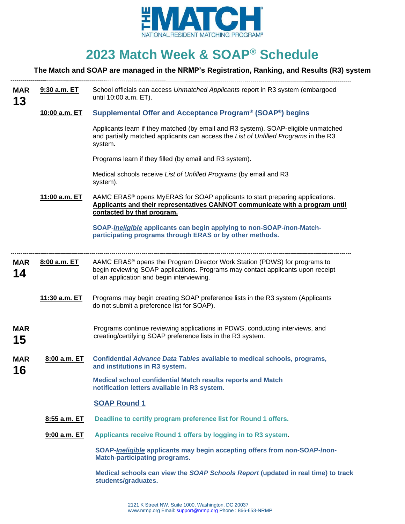

# **2023 Match Week & SOAP® Schedule**

## **The Match and SOAP are managed in the NRMP's Registration, Ranking, and Results (R3) system**

| <b>MAR</b><br>13 | 9:30 a.m. ET  | School officials can access Unmatched Applicants report in R3 system (embargoed<br>until 10:00 a.m. ET).                                                                                                              |
|------------------|---------------|-----------------------------------------------------------------------------------------------------------------------------------------------------------------------------------------------------------------------|
|                  | 10:00 a.m. ET | Supplemental Offer and Acceptance Program <sup>®</sup> (SOAP <sup>®</sup> ) begins                                                                                                                                    |
|                  |               | Applicants learn if they matched (by email and R3 system). SOAP-eligible unmatched<br>and partially matched applicants can access the List of Unfilled Programs in the R3<br>system.                                  |
|                  |               | Programs learn if they filled (by email and R3 system).                                                                                                                                                               |
|                  |               | Medical schools receive List of Unfilled Programs (by email and R3<br>system).                                                                                                                                        |
|                  | 11:00 a.m. ET | AAMC ERAS <sup>®</sup> opens MyERAS for SOAP applicants to start preparing applications.<br>Applicants and their representatives CANNOT communicate with a program until<br>contacted by that program.                |
|                  |               | SOAP- <i>Ineligible</i> applicants can begin applying to non-SOAP-/non-Match-<br>participating programs through ERAS or by other methods.                                                                             |
| <b>MAR</b><br>14 | 8:00 a.m. ET  | AAMC ERAS <sup>®</sup> opens the Program Director Work Station (PDWS) for programs to<br>begin reviewing SOAP applications. Programs may contact applicants upon receipt<br>of an application and begin interviewing. |
|                  | 11:30 a.m. ET | Programs may begin creating SOAP preference lists in the R3 system (Applicants<br>do not submit a preference list for SOAP).                                                                                          |
| <b>MAR</b><br>15 |               | Programs continue reviewing applications in PDWS, conducting interviews, and<br>creating/certifying SOAP preference lists in the R3 system.                                                                           |
| <b>MAR</b><br>16 | 8:00 a.m. ET  | Confidential Advance Data Tables available to medical schools, programs,<br>and institutions in R3 system.                                                                                                            |
|                  |               | Medical school confidential Match results reports and Match<br>notification letters available in R3 system.                                                                                                           |
|                  |               | <b>SOAP Round 1</b>                                                                                                                                                                                                   |
|                  | 8:55 a.m. ET  | Deadline to certify program preference list for Round 1 offers.                                                                                                                                                       |
|                  | 9:00 a.m. ET  | Applicants receive Round 1 offers by logging in to R3 system.                                                                                                                                                         |
|                  |               | SOAP-Ineligible applicants may begin accepting offers from non-SOAP-/non-<br><b>Match-participating programs.</b>                                                                                                     |
|                  |               | Medical schools can view the SOAP Schools Report (updated in real time) to track<br>students/graduates.                                                                                                               |
|                  |               |                                                                                                                                                                                                                       |